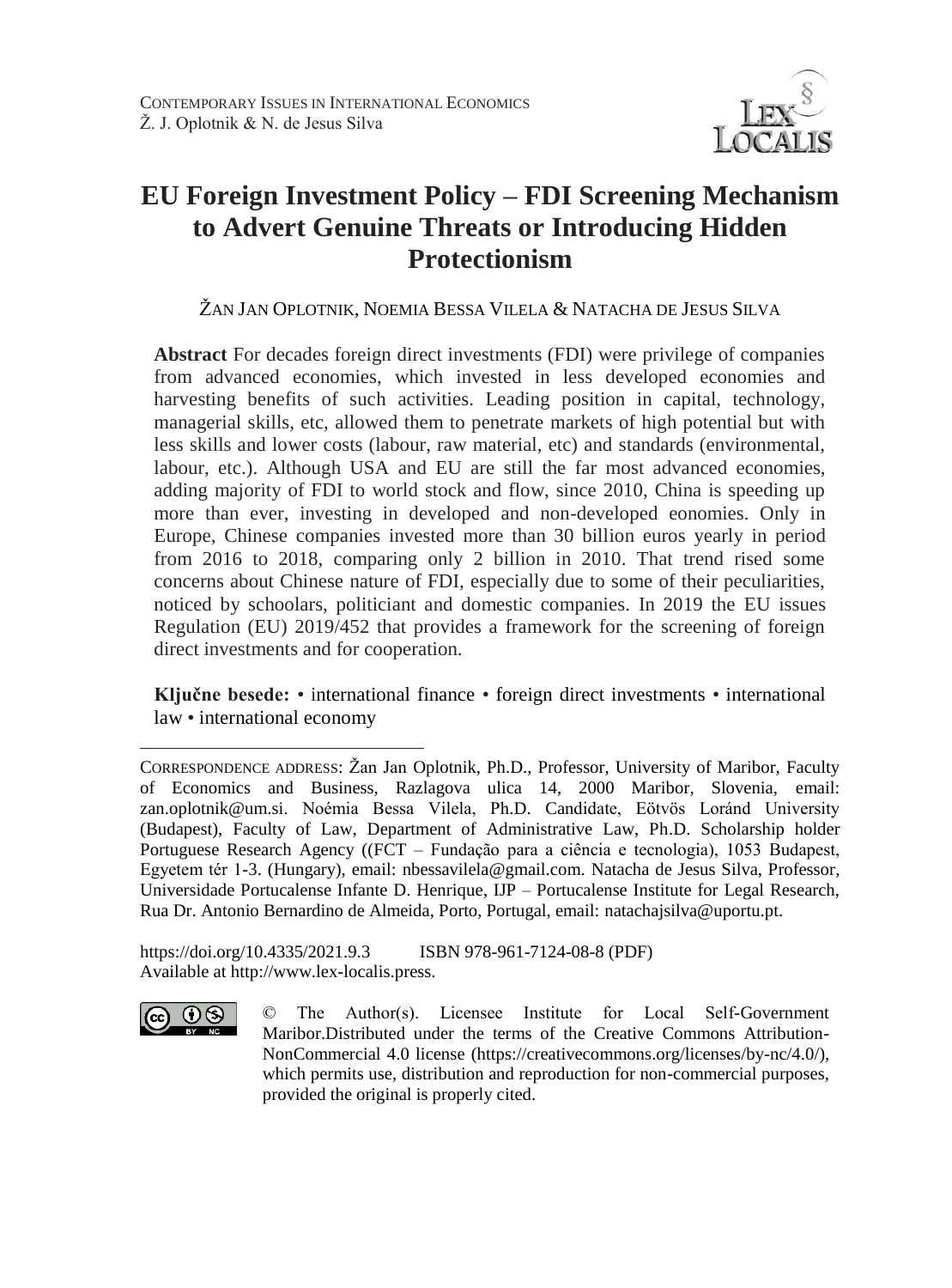

# **EU Foreign Investment Policy – FDI Screening Mechanism to Advert Genuine Threats or Introducing Hidden Protectionism**

ŽAN JAN OPLOTNIK, NOEMIA BESSA VILELA & NATACHA DE JESUS SILVA

**Abstract** For decades foreign direct investments (FDI) were privilege of companies from advanced economies, which invested in less developed economies and harvesting benefits of such activities. Leading position in capital, technology, managerial skills, etc, allowed them to penetrate markets of high potential but with less skills and lower costs (labour, raw material, etc) and standards (environmental, labour, etc.). Although USA and EU are still the far most advanced economies, adding majority of FDI to world stock and flow, since 2010, China is speeding up more than ever, investing in developed and non-developed eonomies. Only in Europe, Chinese companies invested more than 30 billion euros yearly in period from 2016 to 2018, comparing only 2 billion in 2010. That trend rised some concerns about Chinese nature of FDI, especially due to some of their peculiarities, noticed by schoolars, politiciant and domestic companies. In 2019 the EU issues Regulation (EU) 2019/452 that provides a framework for the screening of foreign direct investments and for cooperation.

**Ključne besede:** • international finance • foreign direct investments • international law • international economy

https://doi.org/10.4335/2021.9.3 ISBN 978-961-7124-08-8 (PDF) Available at http://www.lex-localis.press.



 $\overline{a}$ 

CORRESPONDENCE ADDRESS: Žan Jan Oplotnik, Ph.D., Professor, University of Maribor, Faculty of Economics and Business, Razlagova ulica 14, 2000 Maribor, Slovenia, email: zan.oplotnik@um.si. Noémia Bessa Vilela, Ph.D. Candidate, Eötvös Loránd University (Budapest), Faculty of Law, Department of Administrative Law, Ph.D. Scholarship holder Portuguese Research Agency ((FCT – Fundação para a ciência e tecnologia), 1053 Budapest, Egyetem tér 1-3. (Hungary), email: nbessavilela@gmail.com. Natacha de Jesus Silva, Professor, Universidade Portucalense Infante D. Henrique, IJP – Portucalense Institute for Legal Research, Rua Dr. Antonio Bernardino de Almeida, Porto, Portugal, email: natachajsilva@uportu.pt.

<sup>©</sup> The Author(s). Licensee Institute for Local Self-Government Maribor.Distributed under the terms of the Creative Commons Attribution-NonCommercial 4.0 license (https://creativecommons.org/licenses/by-nc/4.0/), which permits use, distribution and reproduction for non-commercial purposes, provided the original is properly cited.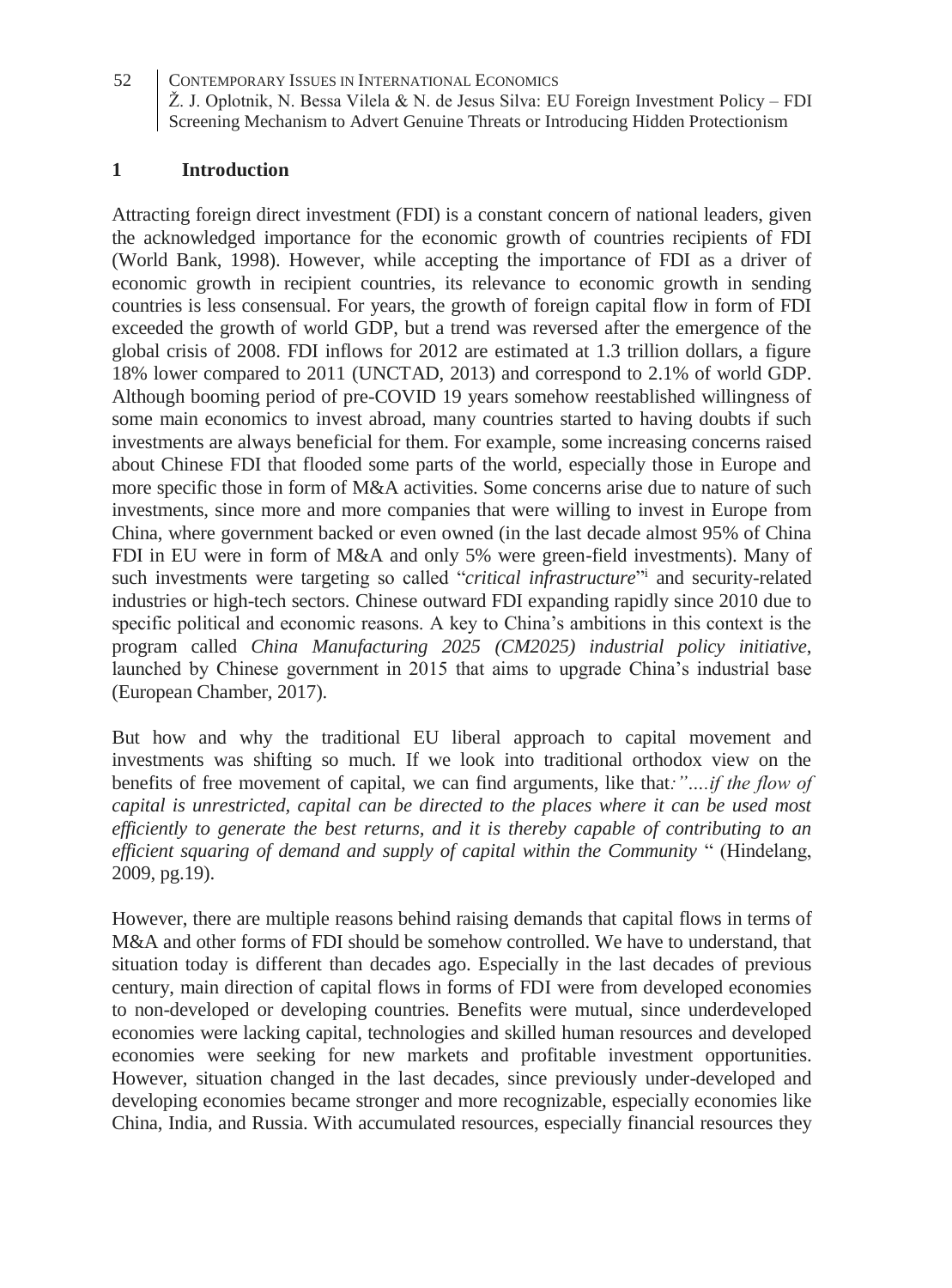### **1 Introduction**

Attracting foreign direct investment (FDI) is a constant concern of national leaders, given the acknowledged importance for the economic growth of countries recipients of FDI (World Bank, 1998). However, while accepting the importance of FDI as a driver of economic growth in recipient countries, its relevance to economic growth in sending countries is less consensual. For years, the growth of foreign capital flow in form of FDI exceeded the growth of world GDP, but a trend was reversed after the emergence of the global crisis of 2008. FDI inflows for 2012 are estimated at 1.3 trillion dollars, a figure 18% lower compared to 2011 (UNCTAD, 2013) and correspond to 2.1% of world GDP. Although booming period of pre-COVID 19 years somehow reestablished willingness of some main economics to invest abroad, many countries started to having doubts if such investments are always beneficial for them. For example, some increasing concerns raised about Chinese FDI that flooded some parts of the world, especially those in Europe and more specific those in form of M&A activities. Some concerns arise due to nature of such investments, since more and more companies that were willing to invest in Europe from China, where government backed or even owned (in the last decade almost 95% of China FDI in EU were in form of M&A and only 5% were green-field investments). Many of such investments were targeting so called "*critical infrastructure*" and security-related industries or high-tech sectors. Chinese outward FDI expanding rapidly since 2010 due to specific political and economic reasons. A key to China's ambitions in this context is the program called *China Manufacturing 2025 (CM2025) industrial policy initiative*, launched by Chinese government in 2015 that aims to upgrade China's industrial base (European Chamber, 2017).

But how and why the traditional EU liberal approach to capital movement and investments was shifting so much. If we look into traditional orthodox view on the benefits of free movement of capital, we can find arguments, like that*:"….if the flow of capital is unrestricted, capital can be directed to the places where it can be used most efficiently to generate the best returns, and it is thereby capable of contributing to an efficient squaring of demand and supply of capital within the Community* " (Hindelang, 2009, pg.19).

However, there are multiple reasons behind raising demands that capital flows in terms of M&A and other forms of FDI should be somehow controlled. We have to understand, that situation today is different than decades ago. Especially in the last decades of previous century, main direction of capital flows in forms of FDI were from developed economies to non-developed or developing countries. Benefits were mutual, since underdeveloped economies were lacking capital, technologies and skilled human resources and developed economies were seeking for new markets and profitable investment opportunities. However, situation changed in the last decades, since previously under-developed and developing economies became stronger and more recognizable, especially economies like China, India, and Russia. With accumulated resources, especially financial resources they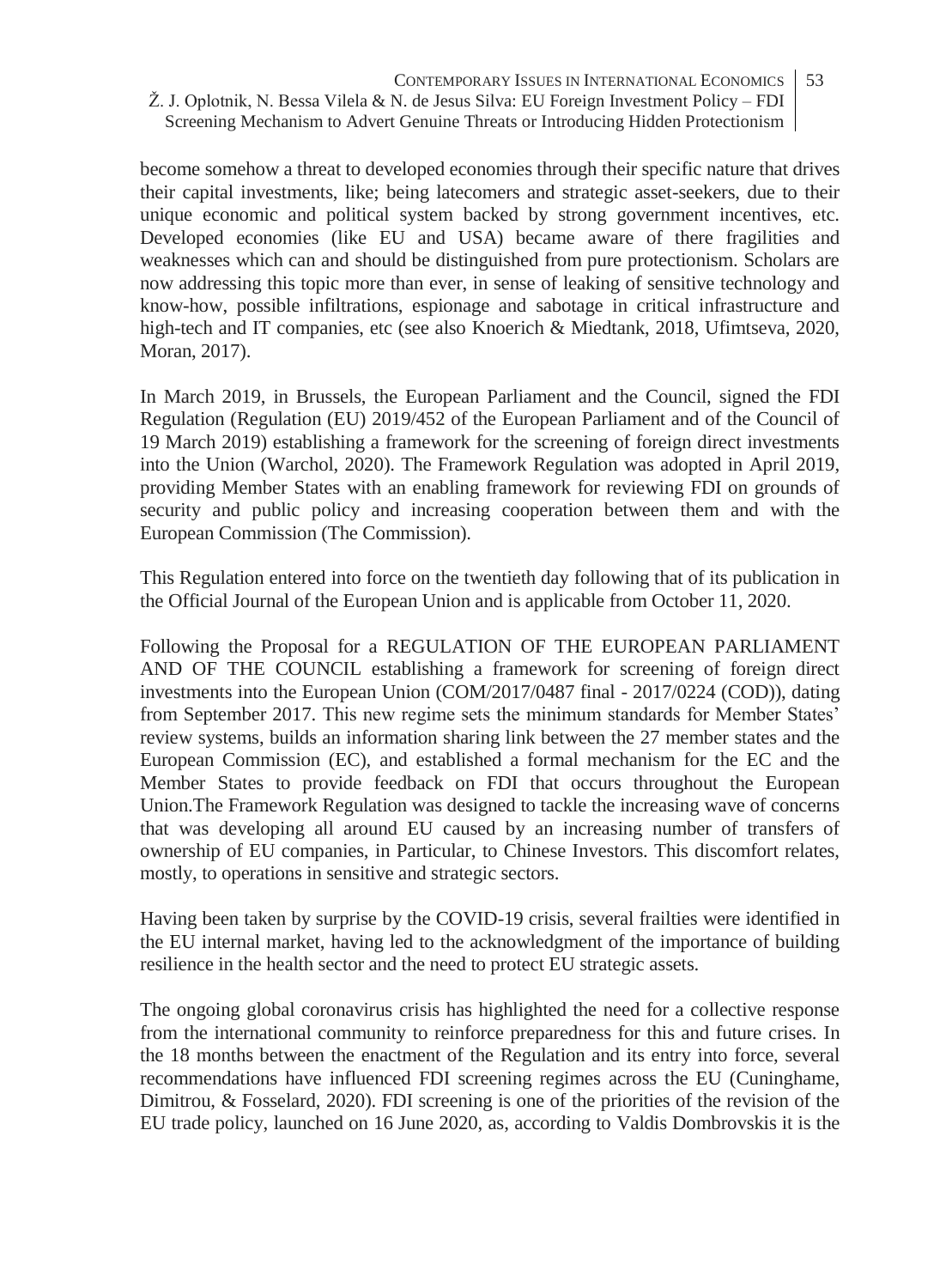become somehow a threat to developed economies through their specific nature that drives their capital investments, like; being latecomers and strategic asset-seekers, due to their unique economic and political system backed by strong government incentives, etc. Developed economies (like EU and USA) became aware of there fragilities and weaknesses which can and should be distinguished from pure protectionism. Scholars are now addressing this topic more than ever, in sense of leaking of sensitive technology and know-how, possible infiltrations, espionage and sabotage in critical infrastructure and high-tech and IT companies, etc (see also Knoerich & Miedtank, 2018, Ufimtseva, 2020, Moran, 2017).

In March 2019, in Brussels, the European Parliament and the Council, signed the FDI Regulation (Regulation (EU) 2019/452 of the European Parliament and of the Council of 19 March 2019) establishing a framework for the screening of foreign direct investments into the Union (Warchol, 2020). The Framework Regulation was adopted in April 2019, providing Member States with an enabling framework for reviewing FDI on grounds of security and public policy and increasing cooperation between them and with the European Commission (The Commission).

This Regulation entered into force on the twentieth day following that of its publication in the Official Journal of the European Union and is applicable from October 11, 2020.

Following the Proposal for a REGULATION OF THE EUROPEAN PARLIAMENT AND OF THE COUNCIL establishing a framework for screening of foreign direct investments into the European Union (COM/2017/0487 final - 2017/0224 (COD)), dating from September 2017. This new regime sets the minimum standards for Member States' review systems, builds an information sharing link between the 27 member states and the European Commission (EC), and established a formal mechanism for the EC and the Member States to provide feedback on FDI that occurs throughout the European Union.The Framework Regulation was designed to tackle the increasing wave of concerns that was developing all around EU caused by an increasing number of transfers of ownership of EU companies, in Particular, to Chinese Investors. This discomfort relates, mostly, to operations in sensitive and strategic sectors.

Having been taken by surprise by the COVID-19 crisis, several frailties were identified in the EU internal market, having led to the acknowledgment of the importance of building resilience in the health sector and the need to protect EU strategic assets.

The ongoing global coronavirus crisis has highlighted the need for a collective response from the international community to reinforce preparedness for this and future crises. In the 18 months between the enactment of the Regulation and its entry into force, several recommendations have influenced FDI screening regimes across the EU (Cuninghame, Dimitrou, & Fosselard, 2020). FDI screening is one of the priorities of the revision of the EU trade policy, launched on 16 June 2020, as, according to Valdis Dombrovskis it is the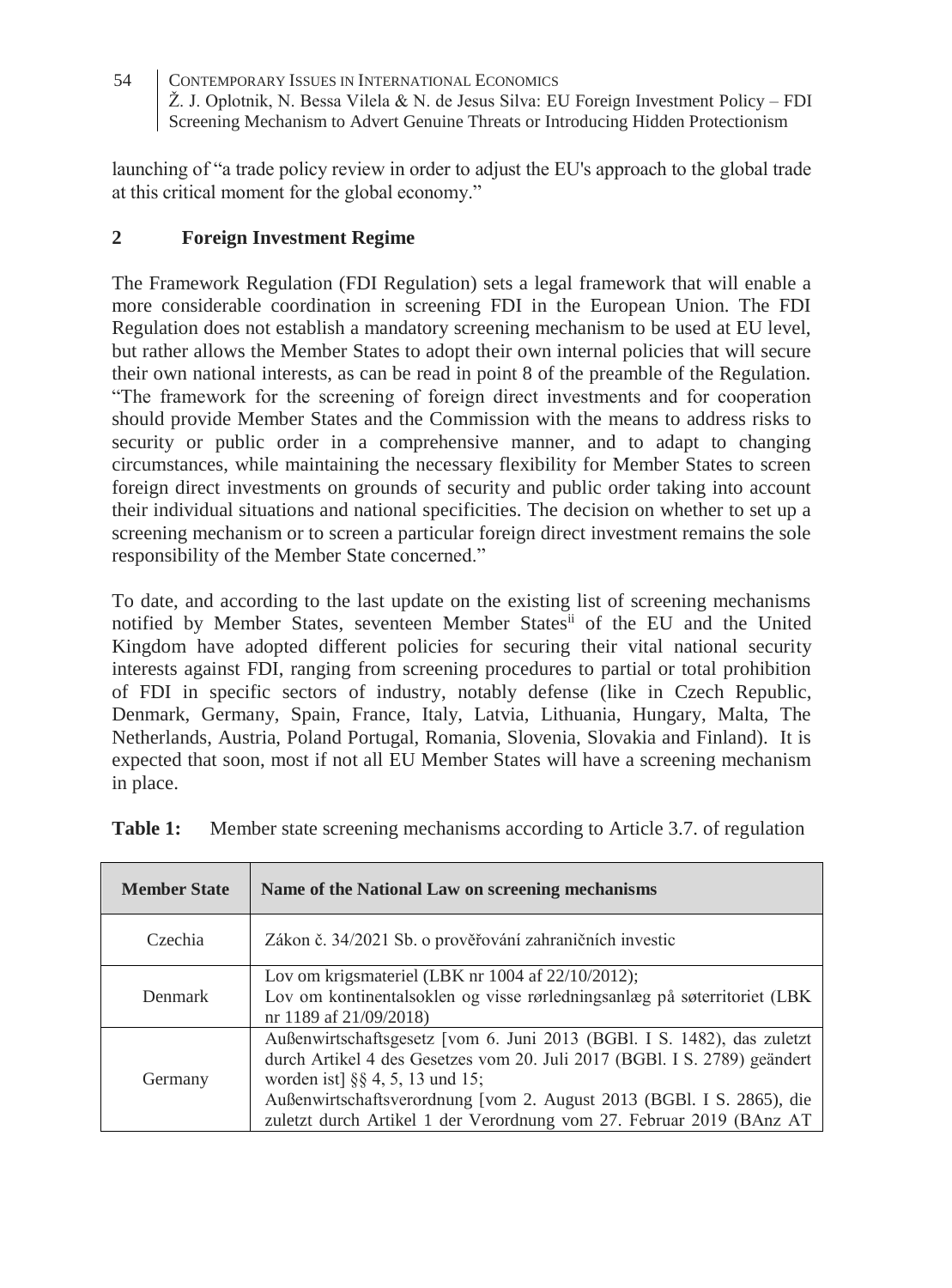launching of "a trade policy review in order to adjust the EU's approach to the global trade at this critical moment for the global economy."

### **2 Foreign Investment Regime**

The Framework Regulation (FDI Regulation) sets a legal framework that will enable a more considerable coordination in screening FDI in the European Union. The FDI Regulation does not establish a mandatory screening mechanism to be used at EU level, but rather allows the Member States to adopt their own internal policies that will secure their own national interests, as can be read in point 8 of the preamble of the Regulation. "The framework for the screening of foreign direct investments and for cooperation should provide Member States and the Commission with the means to address risks to security or public order in a comprehensive manner, and to adapt to changing circumstances, while maintaining the necessary flexibility for Member States to screen foreign direct investments on grounds of security and public order taking into account their individual situations and national specificities. The decision on whether to set up a screening mechanism or to screen a particular foreign direct investment remains the sole responsibility of the Member State concerned."

To date, and according to the last update on the existing list of screening mechanisms notified by Member States, seventeen Member Statesii of the EU and the United Kingdom have adopted different policies for securing their vital national security interests against FDI, ranging from screening procedures to partial or total prohibition of FDI in specific sectors of industry, notably defense (like in Czech Republic, Denmark, Germany, Spain, France, Italy, Latvia, Lithuania, Hungary, Malta, The Netherlands, Austria, Poland Portugal, Romania, Slovenia, Slovakia and Finland). It is expected that soon, most if not all EU Member States will have a screening mechanism in place.

| <b>Member State</b> | Name of the National Law on screening mechanisms                                                                                                                                                                                                                                                                                         |
|---------------------|------------------------------------------------------------------------------------------------------------------------------------------------------------------------------------------------------------------------------------------------------------------------------------------------------------------------------------------|
| Czechia             | Zákon č. 34/2021 Sb. o prověřování zahraničních investic                                                                                                                                                                                                                                                                                 |
| Denmark             | Lov om krigsmateriel (LBK nr $1004$ af $22/10/2012$ );<br>Lov om kontinentalsoklen og visse rørledningsanlæg på søterritoriet (LBK<br>nr 1189 af 21/09/2018)                                                                                                                                                                             |
| Germany             | Außenwirtschaftsgesetz [vom 6. Juni 2013 (BGBl. I S. 1482), das zuletzt<br>durch Artikel 4 des Gesetzes vom 20. Juli 2017 (BGBl. I S. 2789) geändert<br>worden ist] §§ 4, 5, 13 und 15;<br>Außenwirtschaftsverordnung [vom 2. August 2013 (BGBl. I S. 2865), die<br>zuletzt durch Artikel 1 der Verordnung vom 27. Februar 2019 (BAnz AT |

| Table 1: | Member state screening mechanisms according to Article 3.7. of regulation |  |  |  |
|----------|---------------------------------------------------------------------------|--|--|--|
|          |                                                                           |  |  |  |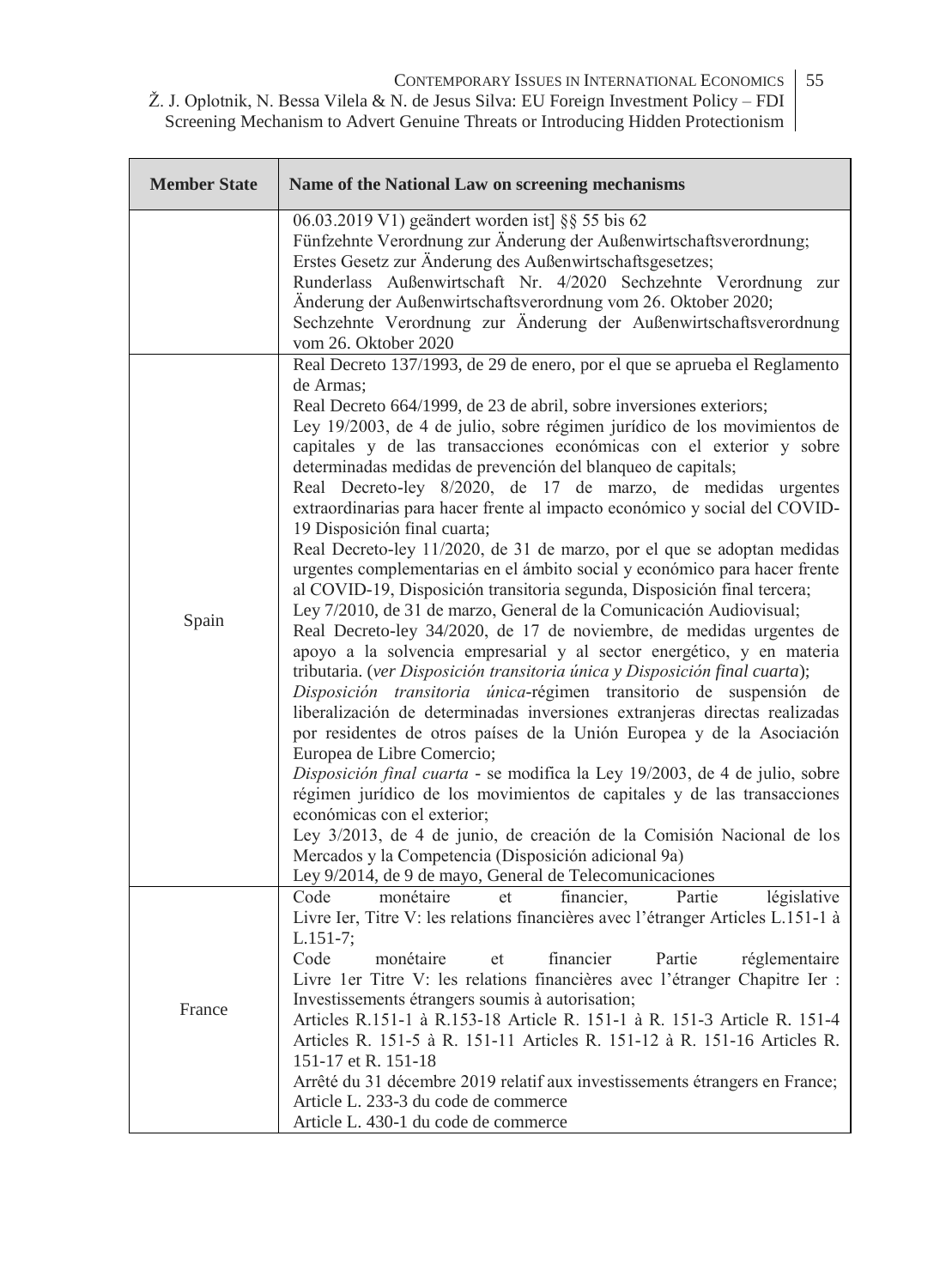CONTEMPORARY ISSUES IN INTERNATIONAL ECONOMICS 55

Ž. J. Oplotnik, N. Bessa Vilela & N. de Jesus Silva: EU Foreign Investment Policy – FDI Screening Mechanism to Advert Genuine Threats or Introducing Hidden Protectionism

| <b>Member State</b> | Name of the National Law on screening mechanisms                                                                                                                                                                                                                                                                                                                                                                                                                                                                                                                                                                                                                                                                                                                                                                                                                                                                                                                                                                                                                                                                                                                                                                                                                                                                                                                                                                                                                                                                                                                                                                                                                                                                                                            |
|---------------------|-------------------------------------------------------------------------------------------------------------------------------------------------------------------------------------------------------------------------------------------------------------------------------------------------------------------------------------------------------------------------------------------------------------------------------------------------------------------------------------------------------------------------------------------------------------------------------------------------------------------------------------------------------------------------------------------------------------------------------------------------------------------------------------------------------------------------------------------------------------------------------------------------------------------------------------------------------------------------------------------------------------------------------------------------------------------------------------------------------------------------------------------------------------------------------------------------------------------------------------------------------------------------------------------------------------------------------------------------------------------------------------------------------------------------------------------------------------------------------------------------------------------------------------------------------------------------------------------------------------------------------------------------------------------------------------------------------------------------------------------------------------|
|                     | 06.03.2019 V1) geändert worden ist] §§ 55 bis 62<br>Fünfzehnte Verordnung zur Änderung der Außenwirtschaftsverordnung;<br>Erstes Gesetz zur Änderung des Außenwirtschaftsgesetzes;<br>Runderlass Außenwirtschaft Nr. 4/2020 Sechzehnte Verordnung zur<br>Änderung der Außenwirtschaftsverordnung vom 26. Oktober 2020;<br>Sechzehnte Verordnung zur Änderung der Außenwirtschaftsverordnung<br>vom 26. Oktober 2020                                                                                                                                                                                                                                                                                                                                                                                                                                                                                                                                                                                                                                                                                                                                                                                                                                                                                                                                                                                                                                                                                                                                                                                                                                                                                                                                         |
| Spain               | Real Decreto 137/1993, de 29 de enero, por el que se aprueba el Reglamento<br>de Armas:<br>Real Decreto 664/1999, de 23 de abril, sobre inversiones exteriors;<br>Ley 19/2003, de 4 de julio, sobre régimen jurídico de los movimientos de<br>capitales y de las transacciones económicas con el exterior y sobre<br>determinadas medidas de prevención del blanqueo de capitals;<br>Real Decreto-ley 8/2020, de 17 de marzo, de medidas urgentes<br>extraordinarias para hacer frente al impacto económico y social del COVID-<br>19 Disposición final cuarta;<br>Real Decreto-ley 11/2020, de 31 de marzo, por el que se adoptan medidas<br>urgentes complementarias en el ámbito social y económico para hacer frente<br>al COVID-19, Disposición transitoria segunda, Disposición final tercera;<br>Ley 7/2010, de 31 de marzo, General de la Comunicación Audiovisual;<br>Real Decreto-ley 34/2020, de 17 de noviembre, de medidas urgentes de<br>apoyo a la solvencia empresarial y al sector energético, y en materia<br>tributaria. (ver Disposición transitoria única y Disposición final cuarta);<br>Disposición transitoria única-régimen transitorio de suspensión de<br>liberalización de determinadas inversiones extranjeras directas realizadas<br>por residentes de otros países de la Unión Europea y de la Asociación<br>Europea de Libre Comercio;<br>Disposición final cuarta - se modifica la Ley 19/2003, de 4 de julio, sobre<br>régimen jurídico de los movimientos de capitales y de las transacciones<br>económicas con el exterior;<br>Ley 3/2013, de 4 de junio, de creación de la Comisión Nacional de los<br>Mercados y la Competencia (Disposición adicional 9a)<br>Ley 9/2014, de 9 de mayo, General de Telecomunicaciones |
| France              | Code<br>monétaire<br>financier,<br>Partie<br>législative<br>et<br>Livre Ier, Titre V: les relations financières avec l'étranger Articles L.151-1 à<br>$L.151-7$ ;<br>financier<br>Code<br>monétaire<br>Partie<br>et<br>réglementaire<br>Livre 1er Titre V: les relations financières avec l'étranger Chapitre Ier :<br>Investissements étrangers soumis à autorisation;<br>Articles R.151-1 à R.153-18 Article R. 151-1 à R. 151-3 Article R. 151-4<br>Articles R. 151-5 à R. 151-11 Articles R. 151-12 à R. 151-16 Articles R.<br>151-17 et R. 151-18<br>Arrêté du 31 décembre 2019 relatif aux investissements étrangers en France;<br>Article L. 233-3 du code de commerce<br>Article L. 430-1 du code de commerce                                                                                                                                                                                                                                                                                                                                                                                                                                                                                                                                                                                                                                                                                                                                                                                                                                                                                                                                                                                                                                       |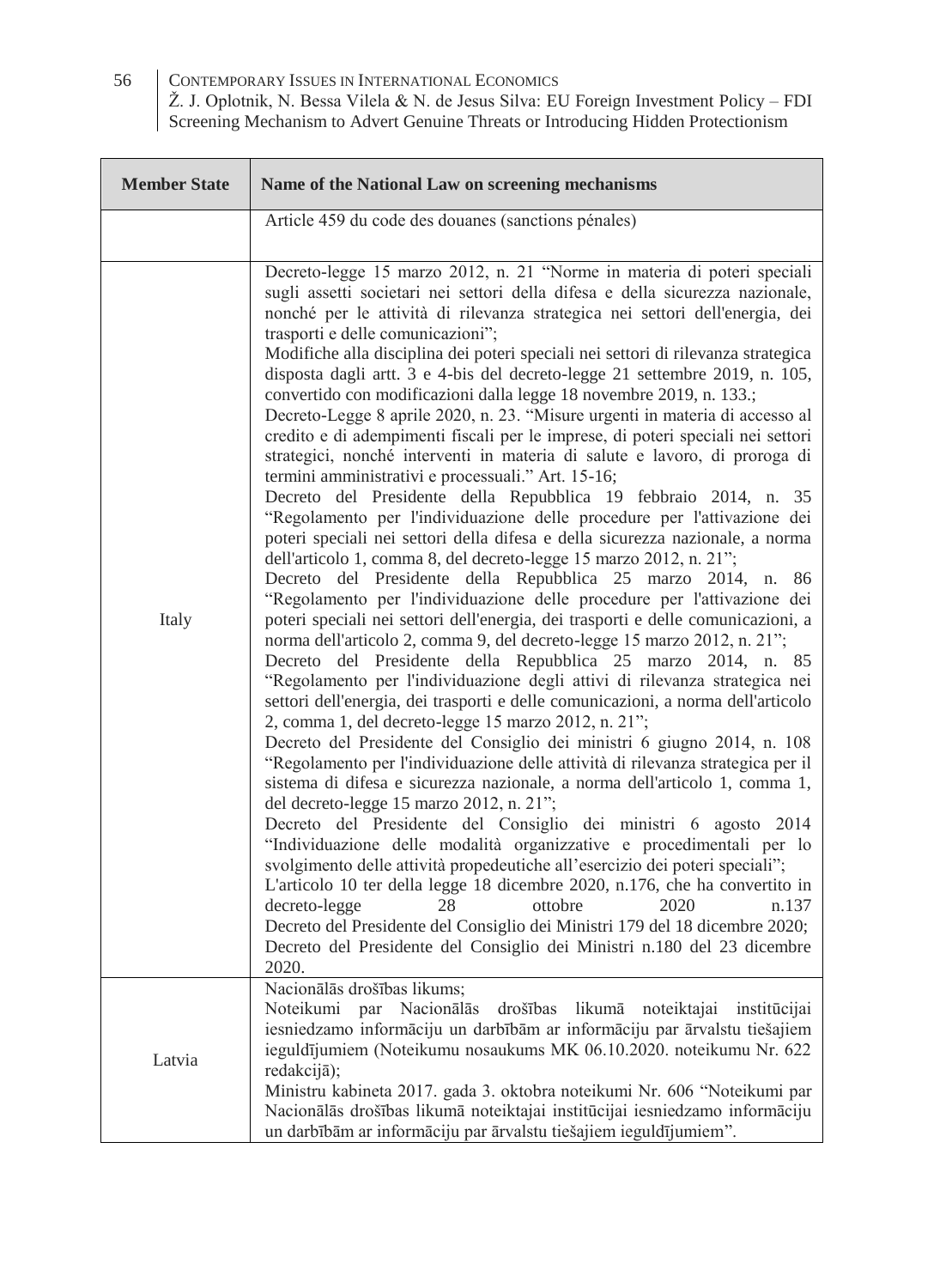| <b>Member State</b> | Name of the National Law on screening mechanisms                                                                                                                                                                                                                                                                                                                                                                                                                                                                                                                                                                                                                                                                                                                                                                                                                                                                                                                                                                                                                                                                                                                                                                                                                                                                                                                                                                                                                                                                                                                                                                                                                                                                                                                                                                                                                                                                                                                                                                                                                                                                                                                                                                                                                                                                                                                                                                                                                                                                                                                  |
|---------------------|-------------------------------------------------------------------------------------------------------------------------------------------------------------------------------------------------------------------------------------------------------------------------------------------------------------------------------------------------------------------------------------------------------------------------------------------------------------------------------------------------------------------------------------------------------------------------------------------------------------------------------------------------------------------------------------------------------------------------------------------------------------------------------------------------------------------------------------------------------------------------------------------------------------------------------------------------------------------------------------------------------------------------------------------------------------------------------------------------------------------------------------------------------------------------------------------------------------------------------------------------------------------------------------------------------------------------------------------------------------------------------------------------------------------------------------------------------------------------------------------------------------------------------------------------------------------------------------------------------------------------------------------------------------------------------------------------------------------------------------------------------------------------------------------------------------------------------------------------------------------------------------------------------------------------------------------------------------------------------------------------------------------------------------------------------------------------------------------------------------------------------------------------------------------------------------------------------------------------------------------------------------------------------------------------------------------------------------------------------------------------------------------------------------------------------------------------------------------------------------------------------------------------------------------------------------------|
|                     | Article 459 du code des douanes (sanctions pénales)                                                                                                                                                                                                                                                                                                                                                                                                                                                                                                                                                                                                                                                                                                                                                                                                                                                                                                                                                                                                                                                                                                                                                                                                                                                                                                                                                                                                                                                                                                                                                                                                                                                                                                                                                                                                                                                                                                                                                                                                                                                                                                                                                                                                                                                                                                                                                                                                                                                                                                               |
| Italy               | Decreto-legge 15 marzo 2012, n. 21 "Norme in materia di poteri speciali<br>sugli assetti societari nei settori della difesa e della sicurezza nazionale,<br>nonché per le attività di rilevanza strategica nei settori dell'energia, dei<br>trasporti e delle comunicazioni";<br>Modifiche alla disciplina dei poteri speciali nei settori di rilevanza strategica<br>disposta dagli artt. 3 e 4-bis del decreto-legge 21 settembre 2019, n. 105,<br>convertido con modificazioni dalla legge 18 novembre 2019, n. 133.;<br>Decreto-Legge 8 aprile 2020, n. 23. "Misure urgenti in materia di accesso al<br>credito e di adempimenti fiscali per le imprese, di poteri speciali nei settori<br>strategici, nonché interventi in materia di salute e lavoro, di proroga di<br>termini amministrativi e processuali." Art. 15-16;<br>Decreto del Presidente della Repubblica 19 febbraio 2014, n. 35<br>"Regolamento per l'individuazione delle procedure per l'attivazione dei<br>poteri speciali nei settori della difesa e della sicurezza nazionale, a norma<br>dell'articolo 1, comma 8, del decreto-legge 15 marzo 2012, n. 21";<br>Decreto del Presidente della Repubblica 25 marzo 2014, n. 86<br>"Regolamento per l'individuazione delle procedure per l'attivazione dei<br>poteri speciali nei settori dell'energia, dei trasporti e delle comunicazioni, a<br>norma dell'articolo 2, comma 9, del decreto-legge 15 marzo 2012, n. 21";<br>Decreto del Presidente della Repubblica 25 marzo 2014, n. 85<br>"Regolamento per l'individuazione degli attivi di rilevanza strategica nei<br>settori dell'energia, dei trasporti e delle comunicazioni, a norma dell'articolo<br>2, comma 1, del decreto-legge 15 marzo 2012, n. 21";<br>Decreto del Presidente del Consiglio dei ministri 6 giugno 2014, n. 108<br>"Regolamento per l'individuazione delle attività di rilevanza strategica per il<br>sistema di difesa e sicurezza nazionale, a norma dell'articolo 1, comma 1,<br>del decreto-legge 15 marzo 2012, n. 21";<br>Decreto del Presidente del Consiglio dei ministri 6 agosto 2014<br>"Individuazione delle modalità organizzative e procedimentali per lo<br>svolgimento delle attività propedeutiche all'esercizio dei poteri speciali";<br>L'articolo 10 ter della legge 18 dicembre 2020, n.176, che ha convertito in<br>decreto-legge<br>28<br>ottobre<br>2020<br>n.137<br>Decreto del Presidente del Consiglio dei Ministri 179 del 18 dicembre 2020;<br>Decreto del Presidente del Consiglio dei Ministri n.180 del 23 dicembre<br>2020. |
| Latvia              | Nacionālās drošības likums:<br>Noteikumi<br>par Nacionālās drošības likumā noteiktajai<br>institūcijai<br>iesniedzamo informāciju un darbībām ar informāciju par ārvalstu tiešajiem<br>ieguldījumiem (Noteikumu nosaukums MK 06.10.2020. noteikumu Nr. 622<br>redakcijā);                                                                                                                                                                                                                                                                                                                                                                                                                                                                                                                                                                                                                                                                                                                                                                                                                                                                                                                                                                                                                                                                                                                                                                                                                                                                                                                                                                                                                                                                                                                                                                                                                                                                                                                                                                                                                                                                                                                                                                                                                                                                                                                                                                                                                                                                                         |
|                     | Ministru kabineta 2017. gada 3. oktobra noteikumi Nr. 606 "Noteikumi par<br>Nacionālās drošības likumā noteiktajai institūcijai iesniedzamo informāciju<br>un darbībām ar informāciju par ārvalstu tiešajiem ieguldījumiem".                                                                                                                                                                                                                                                                                                                                                                                                                                                                                                                                                                                                                                                                                                                                                                                                                                                                                                                                                                                                                                                                                                                                                                                                                                                                                                                                                                                                                                                                                                                                                                                                                                                                                                                                                                                                                                                                                                                                                                                                                                                                                                                                                                                                                                                                                                                                      |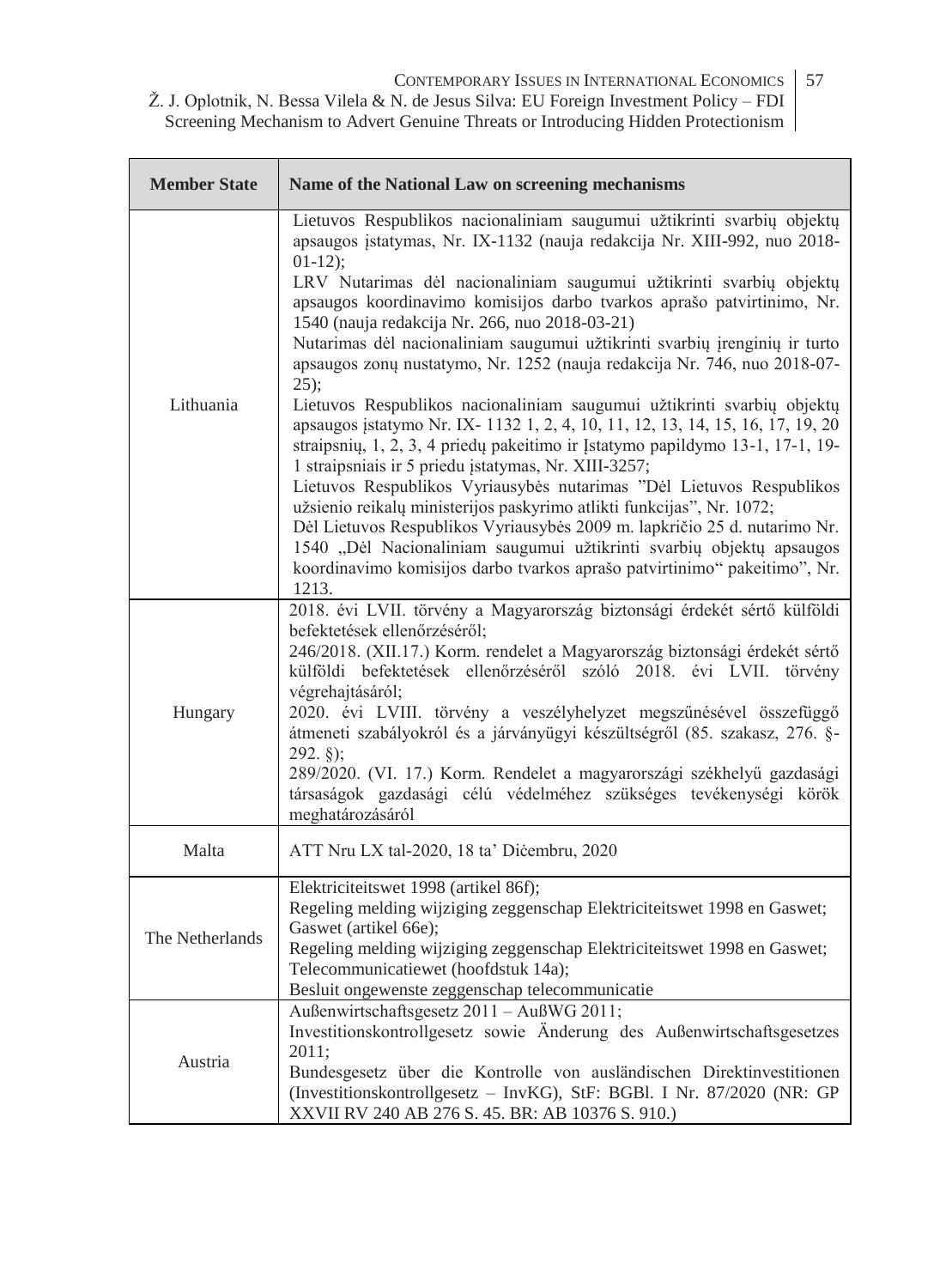CONTEMPORARY ISSUES IN INTERNATIONAL ECONOMICS | 57

Ž. J. Oplotnik, N. Bessa Vilela & N. de Jesus Silva: EU Foreign Investment Policy – FDI Screening Mechanism to Advert Genuine Threats or Introducing Hidden Protectionism

| <b>Member State</b> | Name of the National Law on screening mechanisms                                                                                                                                                                                                                                                                                                                                                                                                                                                                                                                                                                                                                                                                                                                                                                                                                                                                                                                                                                                                                                                                                                                                                                                      |
|---------------------|---------------------------------------------------------------------------------------------------------------------------------------------------------------------------------------------------------------------------------------------------------------------------------------------------------------------------------------------------------------------------------------------------------------------------------------------------------------------------------------------------------------------------------------------------------------------------------------------------------------------------------------------------------------------------------------------------------------------------------------------------------------------------------------------------------------------------------------------------------------------------------------------------------------------------------------------------------------------------------------------------------------------------------------------------------------------------------------------------------------------------------------------------------------------------------------------------------------------------------------|
| Lithuania           | Lietuvos Respublikos nacionaliniam saugumui užtikrinti svarbių objektų<br>apsaugos įstatymas, Nr. IX-1132 (nauja redakcija Nr. XIII-992, nuo 2018-<br>$01-12$ ;<br>LRV Nutarimas dėl nacionaliniam saugumui užtikrinti svarbių objektų<br>apsaugos koordinavimo komisijos darbo tvarkos aprašo patvirtinimo, Nr.<br>1540 (nauja redakcija Nr. 266, nuo 2018-03-21)<br>Nutarimas dėl nacionaliniam saugumui užtikrinti svarbių įrenginių ir turto<br>apsaugos zonų nustatymo, Nr. 1252 (nauja redakcija Nr. 746, nuo 2018-07-<br>$25$ :<br>Lietuvos Respublikos nacionaliniam saugumui užtikrinti svarbių objektų<br>apsaugos įstatymo Nr. IX-11321, 2, 4, 10, 11, 12, 13, 14, 15, 16, 17, 19, 20<br>straipsnių, 1, 2, 3, 4 priedų pakeitimo ir Įstatymo papildymo 13-1, 17-1, 19-<br>1 straipsniais ir 5 priedu įstatymas, Nr. XIII-3257;<br>Lietuvos Respublikos Vyriausybės nutarimas "Dėl Lietuvos Respublikos<br>užsienio reikalų ministerijos paskyrimo atlikti funkcijas", Nr. 1072;<br>Dėl Lietuvos Respublikos Vyriausybės 2009 m. lapkričio 25 d. nutarimo Nr.<br>1540 "Dėl Nacionaliniam saugumui užtikrinti svarbių objektų apsaugos<br>koordinavimo komisijos darbo tvarkos aprašo patvirtinimo" pakeitimo", Nr.<br>1213. |
| Hungary             | 2018. évi LVII. törvény a Magyarország biztonsági érdekét sértő külföldi<br>befektetések ellenőrzéséről;<br>246/2018. (XII.17.) Korm. rendelet a Magyarország biztonsági érdekét sértő<br>külföldi befektetések ellenőrzéséről szóló 2018. évi LVII. törvény<br>végrehajtásáról;<br>2020. évi LVIII. törvény a veszélyhelyzet megszűnésével összefüggő<br>átmeneti szabályokról és a járványügyi készültségről (85. szakasz, 276. §-<br>$292.$ §);<br>289/2020. (VI. 17.) Korm. Rendelet a magyarországi székhelyű gazdasági<br>társaságok gazdasági célú védelméhez szükséges tevékenységi körök<br>meghatározásáról                                                                                                                                                                                                                                                                                                                                                                                                                                                                                                                                                                                                                 |
| Malta               | ATT Nru LX tal-2020, 18 ta' Dicembru, 2020                                                                                                                                                                                                                                                                                                                                                                                                                                                                                                                                                                                                                                                                                                                                                                                                                                                                                                                                                                                                                                                                                                                                                                                            |
| The Netherlands     | Elektriciteitswet 1998 (artikel 86f);<br>Regeling melding wijziging zeggenschap Elektriciteitswet 1998 en Gaswet;<br>Gaswet (artikel 66e);<br>Regeling melding wijziging zeggenschap Elektriciteitswet 1998 en Gaswet;<br>Telecommunicatiewet (hoofdstuk 14a);<br>Besluit ongewenste zeggenschap telecommunicatie                                                                                                                                                                                                                                                                                                                                                                                                                                                                                                                                                                                                                                                                                                                                                                                                                                                                                                                     |
| Austria             | Außenwirtschaftsgesetz 2011 - AußWG 2011;<br>Investitionskontrollgesetz sowie Änderung des Außenwirtschaftsgesetzes<br>2011;<br>Bundesgesetz über die Kontrolle von ausländischen Direktinvestitionen<br>(Investitionskontrollgesetz - InvKG), StF: BGBl. I Nr. 87/2020 (NR: GP<br>XXVII RV 240 AB 276 S. 45. BR: AB 10376 S. 910.)                                                                                                                                                                                                                                                                                                                                                                                                                                                                                                                                                                                                                                                                                                                                                                                                                                                                                                   |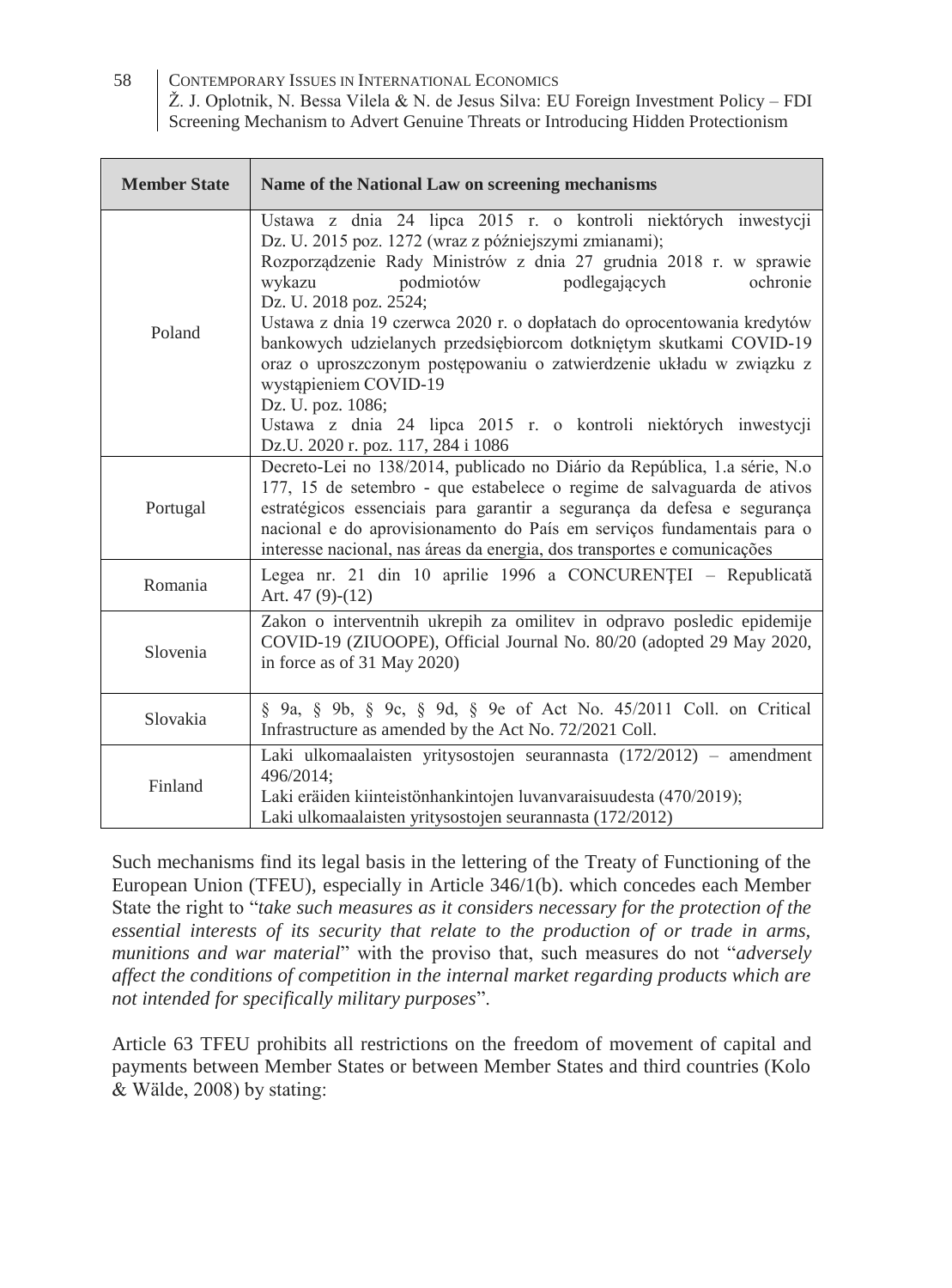58 CONTEMPORARY ISSUES IN INTERNATIONAL ECONOMICS Ž. J. Oplotnik, N. Bessa Vilela & N. de Jesus Silva: EU Foreign Investment Policy – FDI

Screening Mechanism to Advert Genuine Threats or Introducing Hidden Protectionism

| <b>Member State</b> | Name of the National Law on screening mechanisms                                                                                                                                                                                                                                                                                                                                                                                                                                                                                                                                                                                                           |
|---------------------|------------------------------------------------------------------------------------------------------------------------------------------------------------------------------------------------------------------------------------------------------------------------------------------------------------------------------------------------------------------------------------------------------------------------------------------------------------------------------------------------------------------------------------------------------------------------------------------------------------------------------------------------------------|
| Poland              | Ustawa z dnia 24 lipca 2015 r. o kontroli niektórych inwestycji<br>Dz. U. 2015 poz. 1272 (wraz z późniejszymi zmianami);<br>Rozporządzenie Rady Ministrów z dnia 27 grudnia 2018 r. w sprawie<br>podmiotów<br>podlegających<br>ochronie<br>wykazu<br>Dz. U. 2018 poz. 2524;<br>Ustawa z dnia 19 czerwca 2020 r. o dopłatach do oprocentowania kredytów<br>bankowych udzielanych przedsiębiorcom dotkniętym skutkami COVID-19<br>oraz o uproszczonym postępowaniu o zatwierdzenie układu w związku z<br>wystąpieniem COVID-19<br>Dz. U. poz. 1086;<br>Ustawa z dnia 24 lipca 2015 r. o kontroli niektórych inwestycji<br>Dz.U. 2020 r. poz. 117, 284 i 1086 |
| Portugal            | Decreto-Lei no 138/2014, publicado no Diário da República, 1.a série, N.o<br>177, 15 de setembro - que estabelece o regime de salvaguarda de ativos<br>estratégicos essenciais para garantir a segurança da defesa e segurança<br>nacional e do aprovisionamento do País em serviços fundamentais para o<br>interesse nacional, nas áreas da energia, dos transportes e comunicações                                                                                                                                                                                                                                                                       |
| Romania             | Legea nr. 21 din 10 aprilie 1996 a CONCURENȚEI – Republicată<br>Art. $47(9)-(12)$                                                                                                                                                                                                                                                                                                                                                                                                                                                                                                                                                                          |
| Slovenia            | Zakon o interventnih ukrepih za omilitev in odpravo posledic epidemije<br>COVID-19 (ZIUOOPE), Official Journal No. 80/20 (adopted 29 May 2020,<br>in force as of 31 May 2020)                                                                                                                                                                                                                                                                                                                                                                                                                                                                              |
| Slovakia            | § 9a, § 9b, § 9c, § 9d, § 9e of Act No. 45/2011 Coll. on Critical<br>Infrastructure as amended by the Act No. 72/2021 Coll.                                                                                                                                                                                                                                                                                                                                                                                                                                                                                                                                |
| Finland             | Laki ulkomaalaisten yritysostojen seurannasta (172/2012) – amendment<br>496/2014;<br>Laki eräiden kiinteistönhankintojen luvanvaraisuudesta (470/2019);<br>Laki ulkomaalaisten yritysostojen seurannasta (172/2012)                                                                                                                                                                                                                                                                                                                                                                                                                                        |

Such mechanisms find its legal basis in the lettering of the Treaty of Functioning of the European Union (TFEU), especially in Article 346/1(b). which concedes each Member State the right to "*take such measures as it considers necessary for the protection of the essential interests of its security that relate to the production of or trade in arms, munitions and war material*" with the proviso that, such measures do not "*adversely affect the conditions of competition in the internal market regarding products which are not intended for specifically military purposes*".

Article 63 TFEU prohibits all restrictions on the freedom of movement of capital and payments between Member States or between Member States and third countries (Kolo & Wälde, 2008) by stating: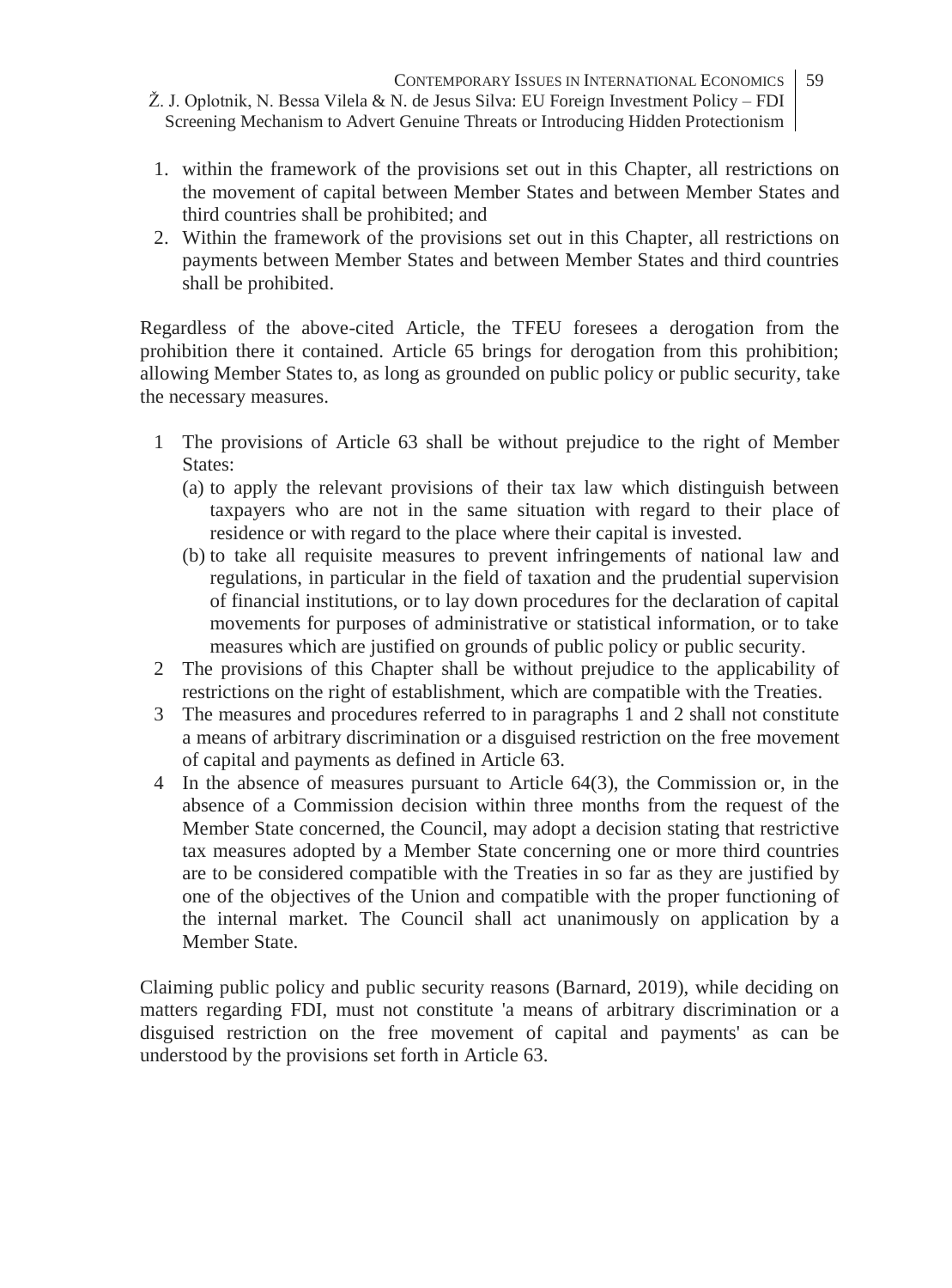- 1. within the framework of the provisions set out in this Chapter, all restrictions on the movement of capital between Member States and between Member States and third countries shall be prohibited; and
- 2. Within the framework of the provisions set out in this Chapter, all restrictions on payments between Member States and between Member States and third countries shall be prohibited.

Regardless of the above-cited Article, the TFEU foresees a derogation from the prohibition there it contained. Article 65 brings for derogation from this prohibition; allowing Member States to, as long as grounded on public policy or public security, take the necessary measures.

- 1 The provisions of Article 63 shall be without prejudice to the right of Member States:
	- (a) to apply the relevant provisions of their tax law which distinguish between taxpayers who are not in the same situation with regard to their place of residence or with regard to the place where their capital is invested.
	- (b) to take all requisite measures to prevent infringements of national law and regulations, in particular in the field of taxation and the prudential supervision of financial institutions, or to lay down procedures for the declaration of capital movements for purposes of administrative or statistical information, or to take measures which are justified on grounds of public policy or public security.
- 2 The provisions of this Chapter shall be without prejudice to the applicability of restrictions on the right of establishment, which are compatible with the Treaties.
- 3 The measures and procedures referred to in paragraphs 1 and 2 shall not constitute a means of arbitrary discrimination or a disguised restriction on the free movement of capital and payments as defined in Article 63.
- 4 In the absence of measures pursuant to Article 64(3), the Commission or, in the absence of a Commission decision within three months from the request of the Member State concerned, the Council, may adopt a decision stating that restrictive tax measures adopted by a Member State concerning one or more third countries are to be considered compatible with the Treaties in so far as they are justified by one of the objectives of the Union and compatible with the proper functioning of the internal market. The Council shall act unanimously on application by a Member State.

Claiming public policy and public security reasons (Barnard, 2019), while deciding on matters regarding FDI, must not constitute 'a means of arbitrary discrimination or a disguised restriction on the free movement of capital and payments' as can be understood by the provisions set forth in Article 63.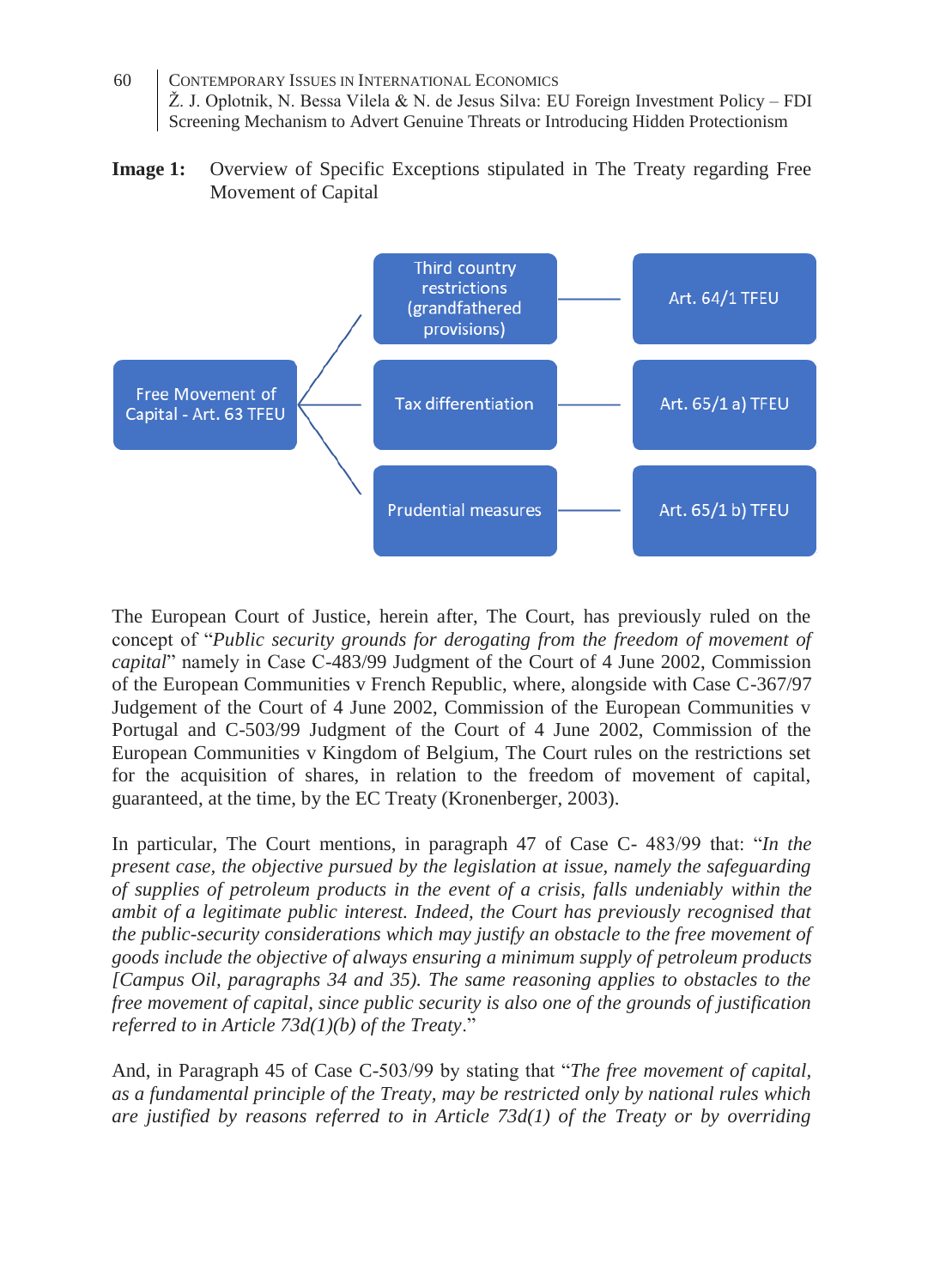- 60 CONTEMPORARY ISSUES IN INTERNATIONAL ECONOMICS Ž. J. Oplotnik, N. Bessa Vilela & N. de Jesus Silva: EU Foreign Investment Policy – FDI Screening Mechanism to Advert Genuine Threats or Introducing Hidden Protectionism
- **Image 1:** Overview of Specific Exceptions stipulated in The Treaty regarding Free Movement of Capital



The European Court of Justice, herein after, The Court, has previously ruled on the concept of "*Public security grounds for derogating from the freedom of movement of capital*" namely in Case C-483/99 Judgment of the Court of 4 June 2002, Commission of the European Communities v French Republic, where, alongside with Case C-367/97 Judgement of the Court of 4 June 2002, Commission of the European Communities v Portugal and C-503/99 Judgment of the Court of 4 June 2002, Commission of the European Communities v Kingdom of Belgium, The Court rules on the restrictions set for the acquisition of shares, in relation to the freedom of movement of capital, guaranteed, at the time, by the EC Treaty (Kronenberger, 2003).

In particular, The Court mentions, in paragraph 47 of Case C- 483/99 that: "*In the present case, the objective pursued by the legislation at issue, namely the safeguarding of supplies of petroleum products in the event of a crisis, falls undeniably within the ambit of a legitimate public interest. Indeed, the Court has previously recognised that the public-security considerations which may justify an obstacle to the free movement of goods include the objective of always ensuring a minimum supply of petroleum products [Campus Oil, paragraphs 34 and 35). The same reasoning applies to obstacles to the free movement of capital, since public security is also one of the grounds of justification referred to in Article 73d(1)(b) of the Treaty*."

And, in Paragraph 45 of Case C-503/99 by stating that "*The free movement of capital, as a fundamental principle of the Treaty, may be restricted only by national rules which are justified by reasons referred to in Article 73d(1) of the Treaty or by overriding*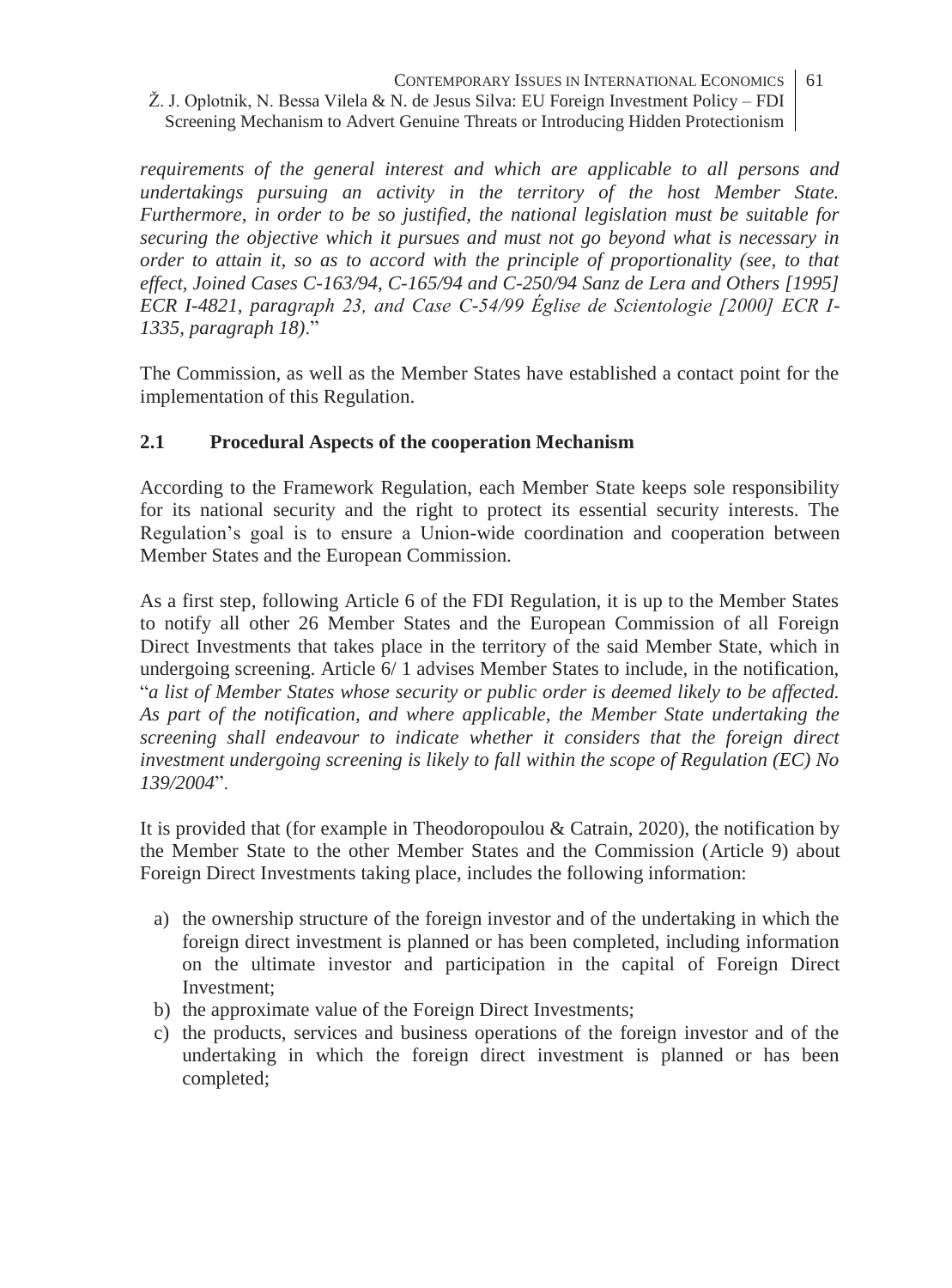*requirements of the general interest and which are applicable to all persons and undertakings pursuing an activity in the territory of the host Member State. Furthermore, in order to be so justified, the national legislation must be suitable for securing the objective which it pursues and must not go beyond what is necessary in order to attain it, so as to accord with the principle of proportionality (see, to that effect, Joined Cases C-163/94, C-165/94 and C-250/94 Sanz de Lera and Others [1995] ECR I-4821, paragraph 23, and Case C-54/99 Église de Scientologie [2000] ECR I-1335, paragraph 18)*."

The Commission, as well as the Member States have established a contact point for the implementation of this Regulation.

## **2.1 Procedural Aspects of the cooperation Mechanism**

According to the Framework Regulation, each Member State keeps sole responsibility for its national security and the right to protect its essential security interests. The Regulation's goal is to ensure a Union-wide coordination and cooperation between Member States and the European Commission.

As a first step, following Article 6 of the FDI Regulation, it is up to the Member States to notify all other 26 Member States and the European Commission of all Foreign Direct Investments that takes place in the territory of the said Member State, which in undergoing screening. Article 6/ 1 advises Member States to include, in the notification, "*a list of Member States whose security or public order is deemed likely to be affected. As part of the notification, and where applicable, the Member State undertaking the screening shall endeavour to indicate whether it considers that the foreign direct investment undergoing screening is likely to fall within the scope of Regulation (EC) No 139/2004*".

It is provided that (for example in Theodoropoulou & Catrain, 2020), the notification by the Member State to the other Member States and the Commission (Article 9) about Foreign Direct Investments taking place, includes the following information:

- a) the ownership structure of the foreign investor and of the undertaking in which the foreign direct investment is planned or has been completed, including information on the ultimate investor and participation in the capital of Foreign Direct Investment;
- b) the approximate value of the Foreign Direct Investments;
- c) the products, services and business operations of the foreign investor and of the undertaking in which the foreign direct investment is planned or has been completed;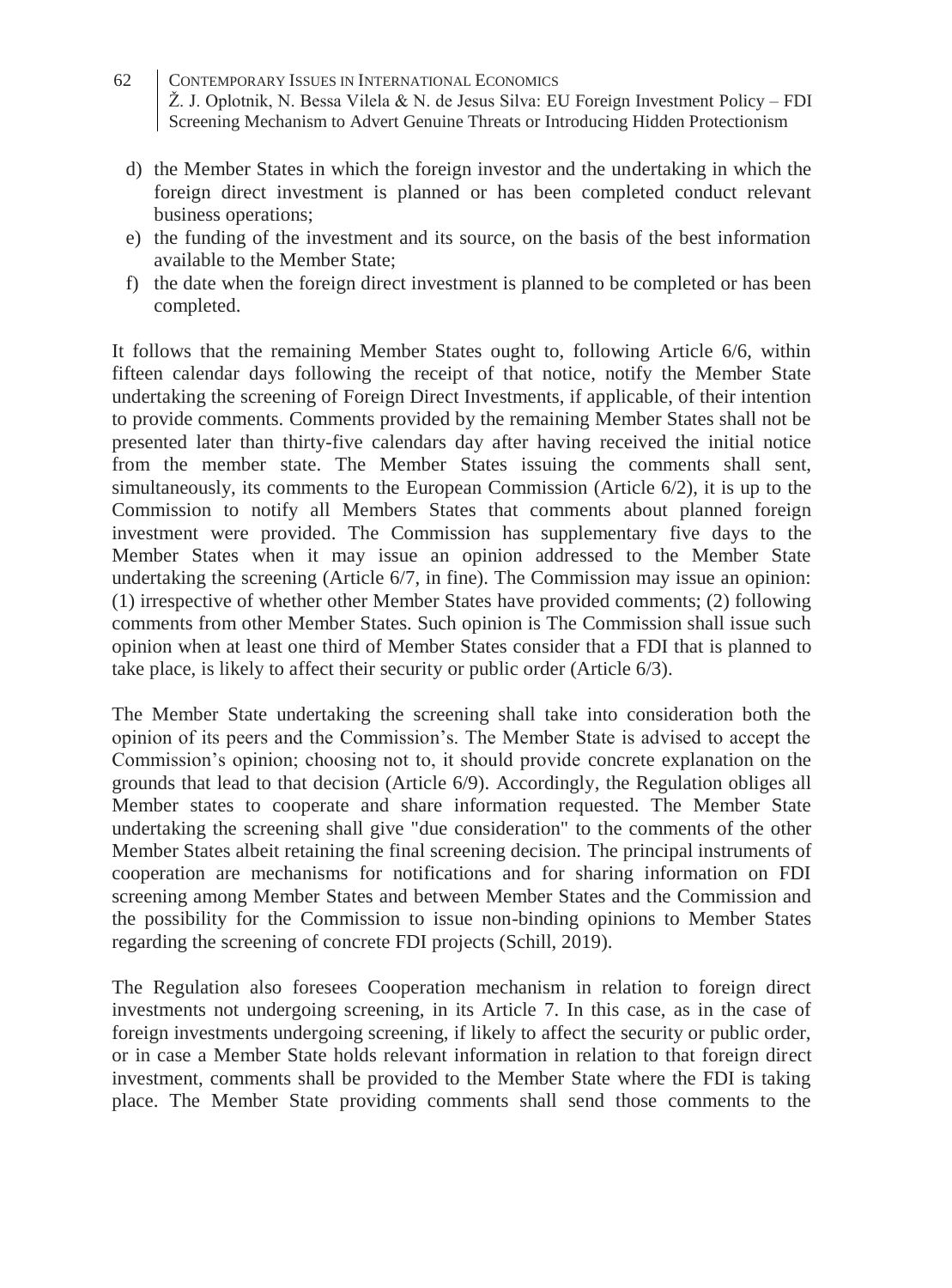- 62 CONTEMPORARY ISSUES IN INTERNATIONAL ECONOMICS Ž. J. Oplotnik, N. Bessa Vilela & N. de Jesus Silva: EU Foreign Investment Policy – FDI Screening Mechanism to Advert Genuine Threats or Introducing Hidden Protectionism
	- d) the Member States in which the foreign investor and the undertaking in which the foreign direct investment is planned or has been completed conduct relevant business operations;
	- e) the funding of the investment and its source, on the basis of the best information available to the Member State;
	- f) the date when the foreign direct investment is planned to be completed or has been completed.

It follows that the remaining Member States ought to, following Article 6/6, within fifteen calendar days following the receipt of that notice, notify the Member State undertaking the screening of Foreign Direct Investments, if applicable, of their intention to provide comments. Comments provided by the remaining Member States shall not be presented later than thirty-five calendars day after having received the initial notice from the member state. The Member States issuing the comments shall sent, simultaneously, its comments to the European Commission (Article 6/2), it is up to the Commission to notify all Members States that comments about planned foreign investment were provided. The Commission has supplementary five days to the Member States when it may issue an opinion addressed to the Member State undertaking the screening (Article 6/7, in fine). The Commission may issue an opinion: (1) irrespective of whether other Member States have provided comments; (2) following comments from other Member States. Such opinion is The Commission shall issue such opinion when at least one third of Member States consider that a FDI that is planned to take place, is likely to affect their security or public order (Article 6/3).

The Member State undertaking the screening shall take into consideration both the opinion of its peers and the Commission's. The Member State is advised to accept the Commission's opinion; choosing not to, it should provide concrete explanation on the grounds that lead to that decision (Article 6/9). Accordingly, the Regulation obliges all Member states to cooperate and share information requested. The Member State undertaking the screening shall give "due consideration" to the comments of the other Member States albeit retaining the final screening decision. The principal instruments of cooperation are mechanisms for notifications and for sharing information on FDI screening among Member States and between Member States and the Commission and the possibility for the Commission to issue non-binding opinions to Member States regarding the screening of concrete FDI projects (Schill, 2019).

The Regulation also foresees Cooperation mechanism in relation to foreign direct investments not undergoing screening, in its Article 7. In this case, as in the case of foreign investments undergoing screening, if likely to affect the security or public order, or in case a Member State holds relevant information in relation to that foreign direct investment, comments shall be provided to the Member State where the FDI is taking place. The Member State providing comments shall send those comments to the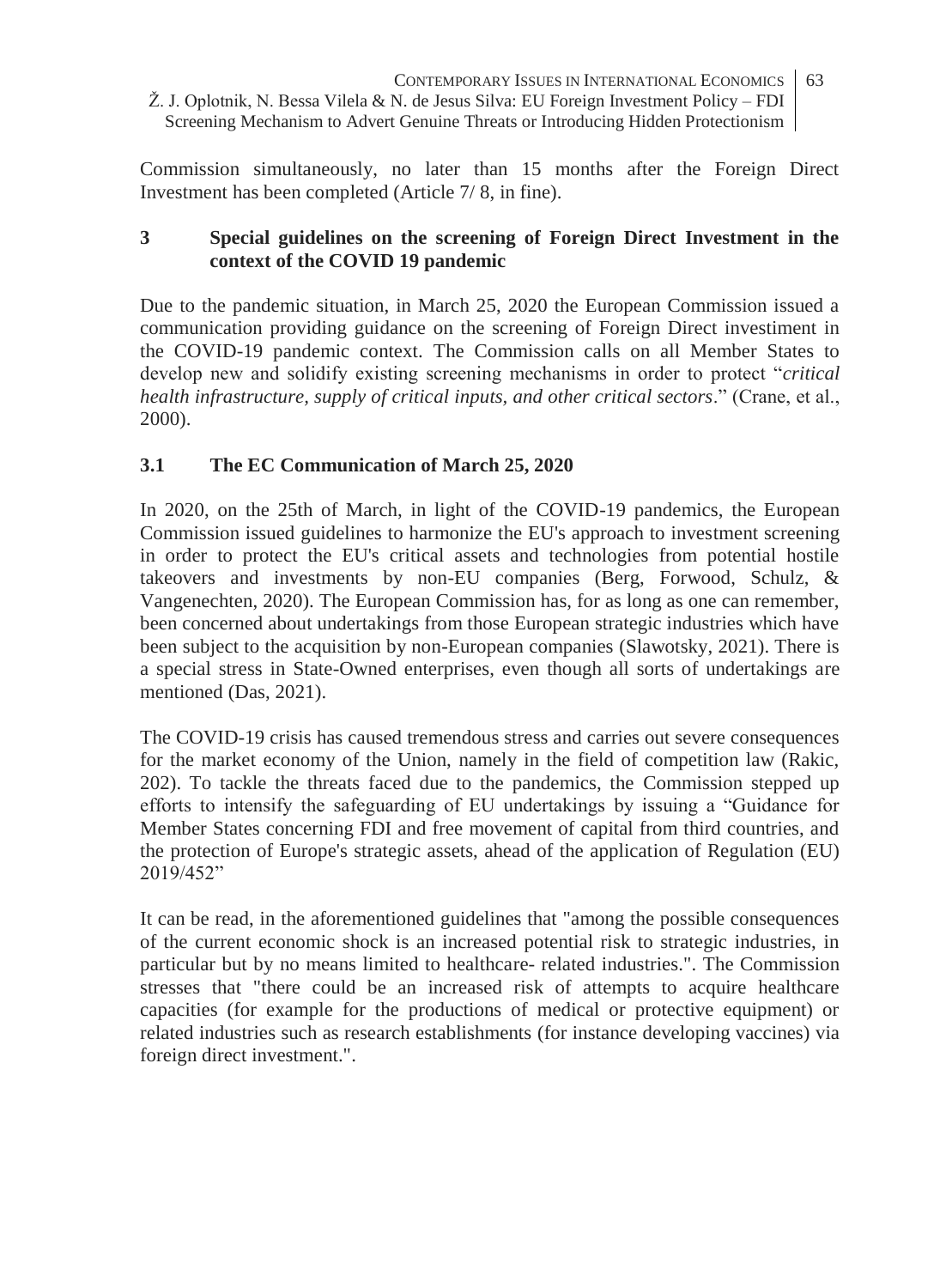Commission simultaneously, no later than 15 months after the Foreign Direct Investment has been completed (Article 7/ 8, in fine).

### **3 Special guidelines on the screening of Foreign Direct Investment in the context of the COVID 19 pandemic**

Due to the pandemic situation, in March 25, 2020 the European Commission issued a communication providing guidance on the screening of Foreign Direct investiment in the COVID-19 pandemic context. The Commission calls on all Member States to develop new and solidify existing screening mechanisms in order to protect "*critical health infrastructure, supply of critical inputs, and other critical sectors*." (Crane, et al., 2000).

# **3.1 The EC Communication of March 25, 2020**

In 2020, on the 25th of March, in light of the COVID-19 pandemics, the European Commission issued guidelines to harmonize the EU's approach to investment screening in order to protect the EU's critical assets and technologies from potential hostile takeovers and investments by non-EU companies (Berg, Forwood, Schulz, & Vangenechten, 2020). The European Commission has, for as long as one can remember, been concerned about undertakings from those European strategic industries which have been subject to the acquisition by non-European companies (Slawotsky, 2021). There is a special stress in State-Owned enterprises, even though all sorts of undertakings are mentioned (Das, 2021).

The COVID-19 crisis has caused tremendous stress and carries out severe consequences for the market economy of the Union, namely in the field of competition law (Rakic, 202). To tackle the threats faced due to the pandemics, the Commission stepped up efforts to intensify the safeguarding of EU undertakings by issuing a "Guidance for Member States concerning FDI and free movement of capital from third countries, and the protection of Europe's strategic assets, ahead of the application of Regulation (EU) 2019/452"

It can be read, in the aforementioned guidelines that "among the possible consequences of the current economic shock is an increased potential risk to strategic industries, in particular but by no means limited to healthcare- related industries.". The Commission stresses that "there could be an increased risk of attempts to acquire healthcare capacities (for example for the productions of medical or protective equipment) or related industries such as research establishments (for instance developing vaccines) via foreign direct investment.".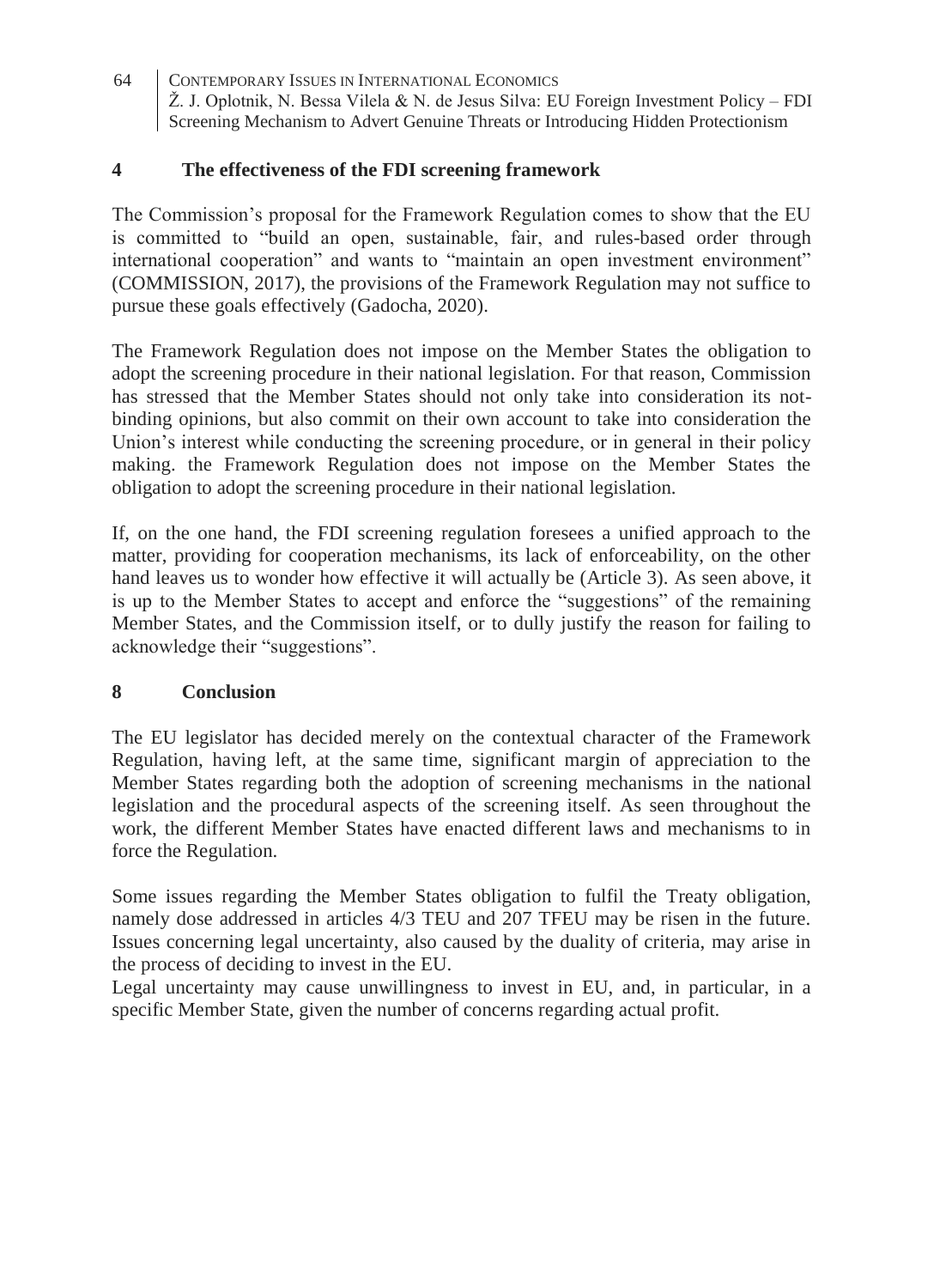### **4 The effectiveness of the FDI screening framework**

The Commission's proposal for the Framework Regulation comes to show that the EU is committed to "build an open, sustainable, fair, and rules-based order through international cooperation" and wants to "maintain an open investment environment" (COMMISSION, 2017), the provisions of the Framework Regulation may not suffice to pursue these goals effectively (Gadocha, 2020).

The Framework Regulation does not impose on the Member States the obligation to adopt the screening procedure in their national legislation. For that reason, Commission has stressed that the Member States should not only take into consideration its notbinding opinions, but also commit on their own account to take into consideration the Union's interest while conducting the screening procedure, or in general in their policy making. the Framework Regulation does not impose on the Member States the obligation to adopt the screening procedure in their national legislation.

If, on the one hand, the FDI screening regulation foresees a unified approach to the matter, providing for cooperation mechanisms, its lack of enforceability, on the other hand leaves us to wonder how effective it will actually be (Article 3). As seen above, it is up to the Member States to accept and enforce the "suggestions" of the remaining Member States, and the Commission itself, or to dully justify the reason for failing to acknowledge their "suggestions".

### **8 Conclusion**

The EU legislator has decided merely on the contextual character of the Framework Regulation, having left, at the same time, significant margin of appreciation to the Member States regarding both the adoption of screening mechanisms in the national legislation and the procedural aspects of the screening itself. As seen throughout the work, the different Member States have enacted different laws and mechanisms to in force the Regulation.

Some issues regarding the Member States obligation to fulfil the Treaty obligation, namely dose addressed in articles 4/3 TEU and 207 TFEU may be risen in the future. Issues concerning legal uncertainty, also caused by the duality of criteria, may arise in the process of deciding to invest in the EU.

Legal uncertainty may cause unwillingness to invest in EU, and, in particular, in a specific Member State, given the number of concerns regarding actual profit.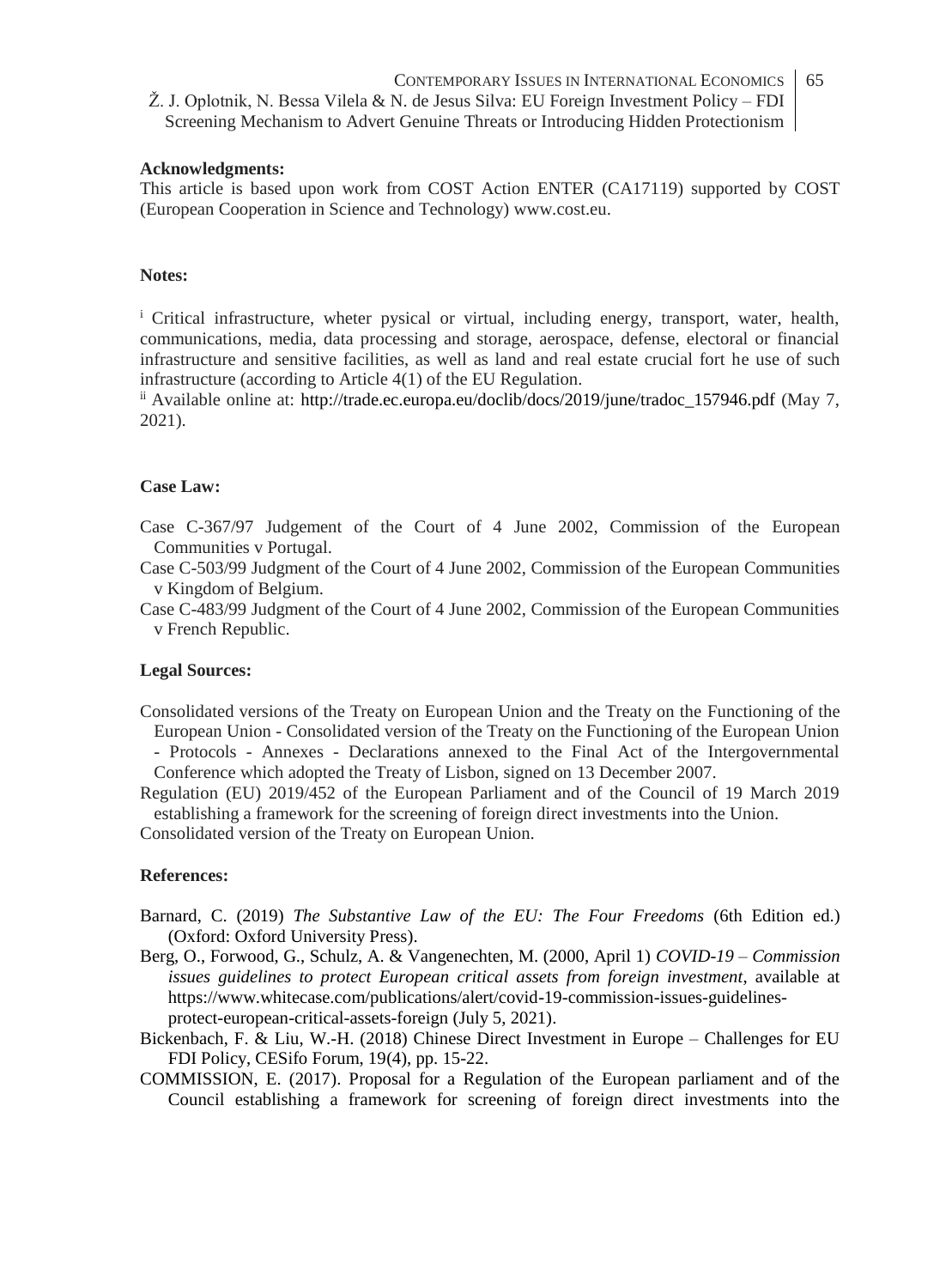#### **Acknowledgments:**

This article is based upon work from COST Action ENTER (CA17119) supported by COST (European Cooperation in Science and Technology) www.cost.eu.

#### **Notes:**

<sup>i</sup> Critical infrastructure, wheter pysical or virtual, including energy, transport, water, health, communications, media, data processing and storage, aerospace, defense, electoral or financial infrastructure and sensitive facilities, as well as land and real estate crucial fort he use of such infrastructure (according to Article 4(1) of the EU Regulation.

ii Available online at: http://trade.ec.europa.eu/doclib/docs/2019/june/tradoc\_157946.pdf (May 7, 2021).

#### **Case Law:**

Case C-367/97 Judgement of the Court of 4 June 2002, Commission of the European Communities v Portugal.

Case C-503/99 Judgment of the Court of 4 June 2002, Commission of the European Communities v Kingdom of Belgium.

Case C-483/99 Judgment of the Court of 4 June 2002, Commission of the European Communities v French Republic.

#### **Legal Sources:**

Consolidated versions of the Treaty on European Union and the Treaty on the Functioning of the European Union - Consolidated version of the Treaty on the Functioning of the European Union - Protocols - Annexes - Declarations annexed to the Final Act of the Intergovernmental Conference which adopted the Treaty of Lisbon, signed on 13 December 2007.

Regulation (EU) 2019/452 of the European Parliament and of the Council of 19 March 2019 establishing a framework for the screening of foreign direct investments into the Union.

Consolidated version of the Treaty on European Union.

#### **References:**

- Barnard, C. (2019) *The Substantive Law of the EU: The Four Freedoms* (6th Edition ed.) (Oxford: Oxford University Press).
- Berg, O., Forwood, G., Schulz, A. & Vangenechten, M. (2000, April 1) *COVID-19 – Commission issues guidelines to protect European critical assets from foreign investment*, available at https://www.whitecase.com/publications/alert/covid-19-commission-issues-guidelinesprotect-european-critical-assets-foreign (July 5, 2021).
- Bickenbach, F. & Liu, W.-H. (2018) Chinese Direct Investment in Europe Challenges for EU FDI Policy, CESifo Forum, 19(4), pp. 15-22.
- COMMISSION, E. (2017). Proposal for a Regulation of the European parliament and of the Council establishing a framework for screening of foreign direct investments into the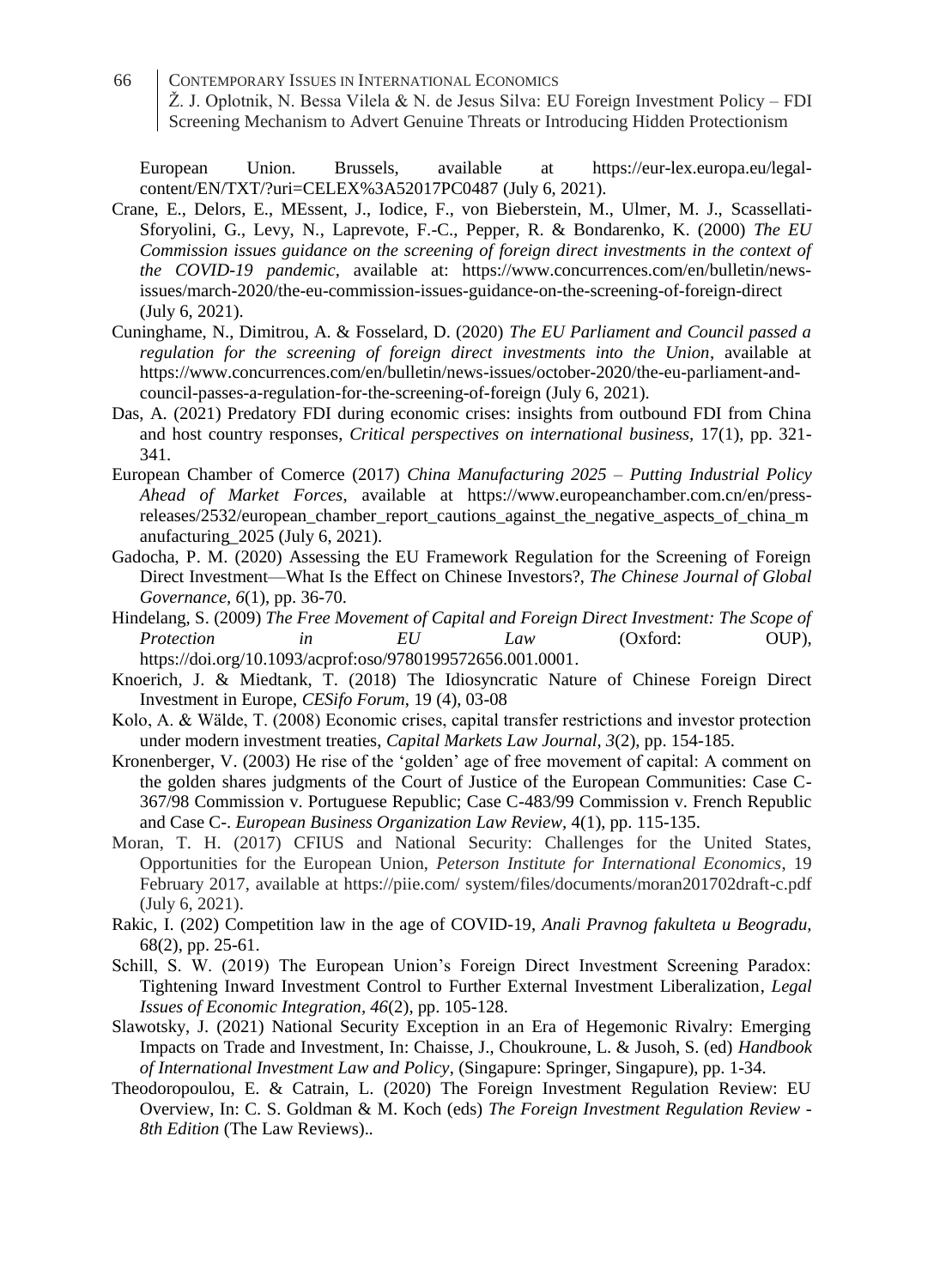European Union. Brussels, available at https://eur-lex.europa.eu/legalcontent/EN/TXT/?uri=CELEX%3A52017PC0487 (July 6, 2021).

- Crane, E., Delors, E., MEssent, J., Iodice, F., von Bieberstein, M., Ulmer, M. J., Scassellati-Sforyolini, G., Levy, N., Laprevote, F.-C., Pepper, R. & Bondarenko, K. (2000) *The EU Commission issues guidance on the screening of foreign direct investments in the context of the COVID-19 pandemic*, available at: https://www.concurrences.com/en/bulletin/newsissues/march-2020/the-eu-commission-issues-guidance-on-the-screening-of-foreign-direct (July 6, 2021).
- Cuninghame, N., Dimitrou, A. & Fosselard, D. (2020) *The EU Parliament and Council passed a regulation for the screening of foreign direct investments into the Union*, available at https://www.concurrences.com/en/bulletin/news-issues/october-2020/the-eu-parliament-andcouncil-passes-a-regulation-for-the-screening-of-foreign (July 6, 2021).
- Das, A. (2021) Predatory FDI during economic crises: insights from outbound FDI from China and host country responses, *Critical perspectives on international business,* 17(1), pp. 321- 341.
- European Chamber of Comerce (2017) *China Manufacturing 2025 – Putting Industrial Policy Ahead of Market Forces*, available at https://www.europeanchamber.com.cn/en/pressreleases/2532/european\_chamber\_report\_cautions\_against\_the\_negative\_aspects\_of\_china\_m anufacturing\_2025 (July 6, 2021).
- Gadocha, P. M. (2020) Assessing the EU Framework Regulation for the Screening of Foreign Direct Investment—What Is the Effect on Chinese Investors?, *The Chinese Journal of Global Governance, 6*(1), pp. 36-70.

Hindelang, S. (2009) *The Free Movement of Capital and Foreign Direct Investment: The Scope of Protection in EU Law* (Oxford: OUP), https://doi.org/10.1093/acprof:oso/9780199572656.001.0001.

- Knoerich, J. & Miedtank, T. (2018) The Idiosyncratic Nature of Chinese Foreign Direct Investment in Europe, *CESifo Forum*, 19 (4), 03-08
- Kolo, A. & Wälde, T. (2008) Economic crises, capital transfer restrictions and investor protection under modern investment treaties, *Capital Markets Law Journal, 3*(2), pp. 154-185.
- Kronenberger, V. (2003) He rise of the 'golden' age of free movement of capital: A comment on the golden shares judgments of the Court of Justice of the European Communities: Case C-367/98 Commission v. Portuguese Republic; Case C-483/99 Commission v. French Republic and Case C-. *European Business Organization Law Review,* 4(1), pp. 115-135.
- Moran, T. H. (2017) CFIUS and National Security: Challenges for the United States, Opportunities for the European Union, *Peterson Institute for International Economics*, 19 February 2017, available at https://piie.com/ system/files/documents/moran201702draft-c.pdf (July 6, 2021).
- Rakic, I. (202) Competition law in the age of COVID-19, *Anali Pravnog fakulteta u Beogradu,*  68(2), pp. 25-61.
- Schill, S. W. (2019) The European Union's Foreign Direct Investment Screening Paradox: Tightening Inward Investment Control to Further External Investment Liberalization, *Legal Issues of Economic Integration, 46*(2), pp. 105-128.
- Slawotsky, J. (2021) National Security Exception in an Era of Hegemonic Rivalry: Emerging Impacts on Trade and Investment, In: Chaisse, J., Choukroune, L. & Jusoh, S. (ed) *Handbook of International Investment Law and Policy*, (Singapure: Springer, Singapure), pp. 1-34.
- Theodoropoulou, E. & Catrain, L. (2020) The Foreign Investment Regulation Review: EU Overview, In: C. S. Goldman & M. Koch (eds) *The Foreign Investment Regulation Review - 8th Edition* (The Law Reviews).*.*